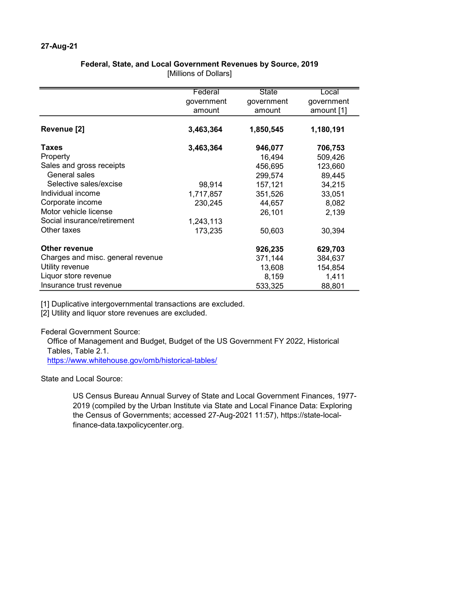## Federal, State, and Local Government Revenues by Source, 2019

[Millions of Dollars]

|                                   | Federal    | State      | Local      |
|-----------------------------------|------------|------------|------------|
|                                   | government | government | government |
|                                   | amount     | amount     | amount [1] |
|                                   |            |            |            |
| Revenue [2]                       | 3,463,364  | 1,850,545  | 1,180,191  |
| Taxes                             | 3,463,364  | 946,077    | 706,753    |
| Property                          |            | 16,494     | 509,426    |
| Sales and gross receipts          |            | 456,695    | 123,660    |
| General sales                     |            | 299,574    | 89,445     |
| Selective sales/excise            | 98,914     | 157,121    | 34,215     |
| Individual income                 | 1,717,857  | 351,526    | 33,051     |
| Corporate income                  | 230,245    | 44,657     | 8,082      |
| Motor vehicle license             |            | 26,101     | 2,139      |
| Social insurance/retirement       | 1,243,113  |            |            |
| Other taxes                       | 173,235    | 50,603     | 30,394     |
| Other revenue                     |            | 926,235    | 629,703    |
| Charges and misc. general revenue |            | 371,144    | 384,637    |
| Utility revenue                   |            | 13,608     | 154,854    |
| Liquor store revenue              |            | 8,159      | 1,411      |
| Insurance trust revenue           |            | 533,325    | 88,801     |

[1] Duplicative intergovernmental transactions are excluded.

[2] Utility and liquor store revenues are excluded.

Federal Government Source:

Office of Management and Budget, Budget of the US Government FY 2022, Historical Tables, Table 2.1.

https://www.whitehouse.gov/omb/historical-tables/

State and Local Source:

US Census Bureau Annual Survey of State and Local Government Finances, 1977- 2019 (compiled by the Urban Institute via State and Local Finance Data: Exploring the Census of Governments; accessed 27-Aug-2021 11:57), https://state-localfinance-data.taxpolicycenter.org.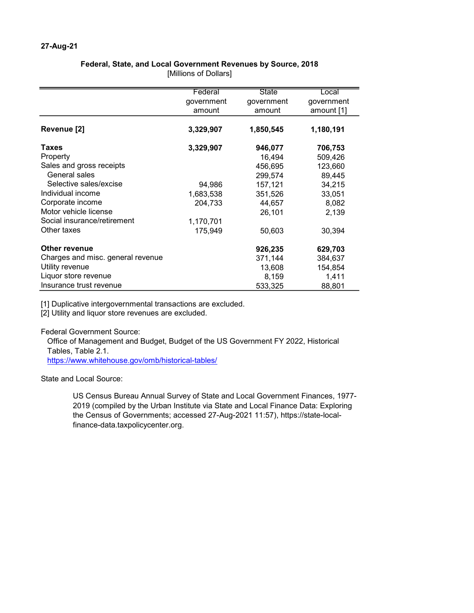## Federal, State, and Local Government Revenues by Source, 2018

[Millions of Dollars]

|                                   | Federal    | <b>State</b> | Local      |
|-----------------------------------|------------|--------------|------------|
|                                   | government | government   | government |
|                                   | amount     | amount       | amount [1] |
|                                   |            |              |            |
| Revenue [2]                       | 3,329,907  | 1,850,545    | 1,180,191  |
| Taxes                             | 3,329,907  | 946,077      | 706,753    |
| Property                          |            | 16,494       | 509,426    |
| Sales and gross receipts          |            | 456,695      | 123,660    |
| General sales                     |            | 299,574      | 89,445     |
| Selective sales/excise            | 94,986     | 157,121      | 34,215     |
| Individual income                 | 1,683,538  | 351,526      | 33,051     |
| Corporate income                  | 204,733    | 44,657       | 8,082      |
| Motor vehicle license             |            | 26,101       | 2,139      |
| Social insurance/retirement       | 1,170,701  |              |            |
| Other taxes                       | 175,949    | 50,603       | 30,394     |
| Other revenue                     |            | 926,235      | 629,703    |
| Charges and misc. general revenue |            | 371,144      | 384,637    |
| Utility revenue                   |            | 13,608       | 154,854    |
| Liquor store revenue              |            | 8,159        | 1,411      |
| Insurance trust revenue           |            | 533,325      | 88,801     |

[1] Duplicative intergovernmental transactions are excluded.

[2] Utility and liquor store revenues are excluded.

Federal Government Source:

Office of Management and Budget, Budget of the US Government FY 2022, Historical Tables, Table 2.1.

https://www.whitehouse.gov/omb/historical-tables/

State and Local Source:

US Census Bureau Annual Survey of State and Local Government Finances, 1977- 2019 (compiled by the Urban Institute via State and Local Finance Data: Exploring the Census of Governments; accessed 27-Aug-2021 11:57), https://state-localfinance-data.taxpolicycenter.org.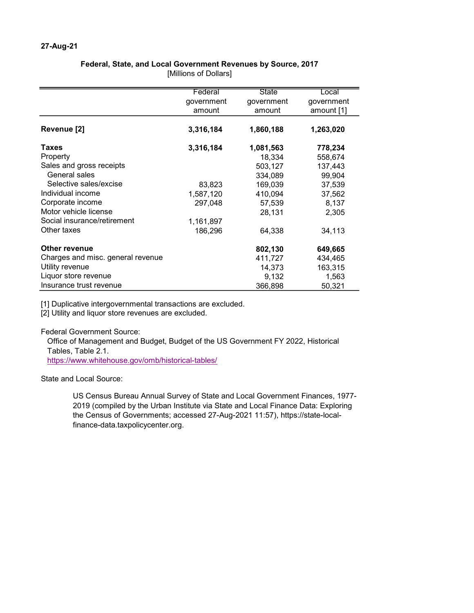## Federal, State, and Local Government Revenues by Source, 2017

[Millions of Dollars]

|                                   | Federal    | <b>State</b> | Local      |
|-----------------------------------|------------|--------------|------------|
|                                   | government | government   | government |
|                                   | amount     | amount       |            |
|                                   |            |              | amount [1] |
| Revenue [2]                       | 3,316,184  | 1,860,188    | 1,263,020  |
|                                   |            |              |            |
| Taxes                             | 3,316,184  | 1,081,563    | 778,234    |
| Property                          |            | 18,334       | 558,674    |
| Sales and gross receipts          |            | 503,127      | 137,443    |
| General sales                     |            | 334,089      | 99,904     |
| Selective sales/excise            | 83,823     | 169,039      | 37,539     |
| Individual income                 | 1,587,120  | 410,094      | 37,562     |
| Corporate income                  | 297,048    | 57,539       | 8,137      |
| Motor vehicle license             |            | 28,131       | 2,305      |
| Social insurance/retirement       | 1,161,897  |              |            |
| Other taxes                       | 186,296    | 64,338       | 34,113     |
| Other revenue                     |            | 802,130      | 649,665    |
| Charges and misc. general revenue |            | 411,727      | 434,465    |
| Utility revenue                   |            | 14,373       | 163,315    |
| Liquor store revenue              |            |              |            |
|                                   |            | 9,132        | 1,563      |
| Insurance trust revenue           |            | 366,898      | 50,321     |

[1] Duplicative intergovernmental transactions are excluded.

[2] Utility and liquor store revenues are excluded.

Federal Government Source:

Office of Management and Budget, Budget of the US Government FY 2022, Historical Tables, Table 2.1.

https://www.whitehouse.gov/omb/historical-tables/

State and Local Source:

US Census Bureau Annual Survey of State and Local Government Finances, 1977- 2019 (compiled by the Urban Institute via State and Local Finance Data: Exploring the Census of Governments; accessed 27-Aug-2021 11:57), https://state-localfinance-data.taxpolicycenter.org.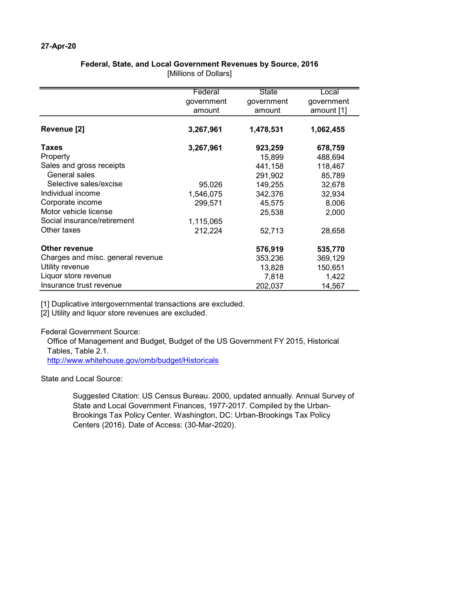## Federal, State, and Local Government Revenues by Source, 2016

[Millions of Dollars]

|                                   | Federal    | State      | Local      |
|-----------------------------------|------------|------------|------------|
|                                   | government | government | government |
|                                   | amount     | amount     | amount [1] |
|                                   |            |            |            |
| Revenue [2]                       | 3,267,961  | 1,478,531  | 1,062,455  |
| Taxes                             | 3,267,961  | 923,259    | 678,759    |
| Property                          |            | 15,899     | 488,694    |
| Sales and gross receipts          |            | 441,158    | 118,467    |
| General sales                     |            | 291,902    | 85,789     |
| Selective sales/excise            | 95,026     | 149,255    | 32,678     |
| Individual income                 | 1,546,075  | 342,376    | 32,934     |
| Corporate income                  | 299,571    | 45,575     | 8,006      |
| Motor vehicle license             |            | 25,538     | 2,000      |
| Social insurance/retirement       | 1,115,065  |            |            |
| Other taxes                       | 212,224    | 52,713     | 28,658     |
| Other revenue                     |            | 576,919    | 535,770    |
| Charges and misc. general revenue |            | 353,236    | 369,129    |
| Utility revenue                   |            | 13,828     | 150,651    |
| Liquor store revenue              |            | 7,818      | 1,422      |
| Insurance trust revenue           |            | 202,037    | 14,567     |

[1] Duplicative intergovernmental transactions are excluded.

[2] Utility and liquor store revenues are excluded.

Federal Government Source:

Office of Management and Budget, Budget of the US Government FY 2015, Historical Tables, Table 2.1.

http://www.whitehouse.gov/omb/budget/Historicals

State and Local Source:

Suggested Citation: US Census Bureau. 2000, updated annually. Annual Survey of State and Local Government Finances, 1977-2017. Compiled by the Urban-Brookings Tax Policy Center. Washington, DC: Urban-Brookings Tax Policy Centers (2016). Date of Access: (30-Mar-2020).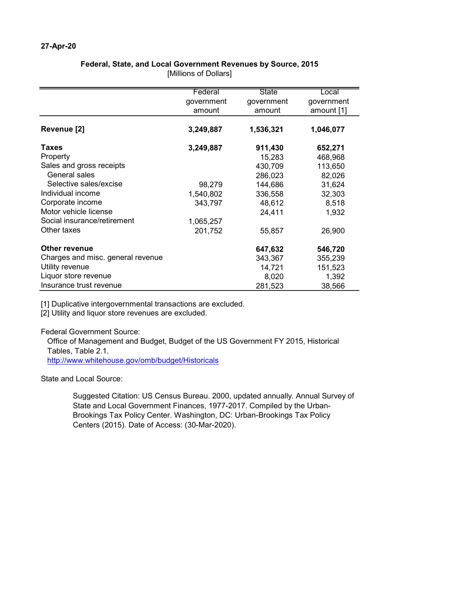## Federal, State, and Local Government Revenues by Source, 2015

[Millions of Dollars]

|                                   | Federal    | State      | Local      |
|-----------------------------------|------------|------------|------------|
|                                   | government | government | government |
|                                   | amount     | amount     | amount [1] |
|                                   |            |            |            |
| Revenue [2]                       | 3,249,887  | 1,536,321  | 1,046,077  |
| Taxes                             | 3,249,887  | 911,430    | 652,271    |
| Property                          |            | 15,283     | 468,968    |
| Sales and gross receipts          |            | 430,709    | 113,650    |
| General sales                     |            | 286,023    | 82,026     |
| Selective sales/excise            | 98,279     | 144,686    | 31,624     |
| Individual income                 | 1,540,802  | 336,558    | 32,303     |
| Corporate income                  | 343,797    | 48,612     | 8,518      |
| Motor vehicle license             |            | 24,411     | 1,932      |
| Social insurance/retirement       | 1,065,257  |            |            |
| Other taxes                       | 201,752    | 55,857     | 26,900     |
|                                   |            |            |            |
| Other revenue                     |            | 647,632    | 546,720    |
| Charges and misc. general revenue |            | 343,367    | 355,239    |
| Utility revenue                   |            | 14,721     | 151,523    |
| Liquor store revenue              |            | 8,020      | 1,392      |
| Insurance trust revenue           |            | 281,523    | 38,566     |

[1] Duplicative intergovernmental transactions are excluded.

[2] Utility and liquor store revenues are excluded.

Federal Government Source:

Office of Management and Budget, Budget of the US Government FY 2015, Historical Tables, Table 2.1.

http://www.whitehouse.gov/omb/budget/Historicals

State and Local Source:

Suggested Citation: US Census Bureau. 2000, updated annually. Annual Survey of State and Local Government Finances, 1977-2017. Compiled by the Urban-Brookings Tax Policy Center. Washington, DC: Urban-Brookings Tax Policy Centers (2015). Date of Access: (30-Mar-2020).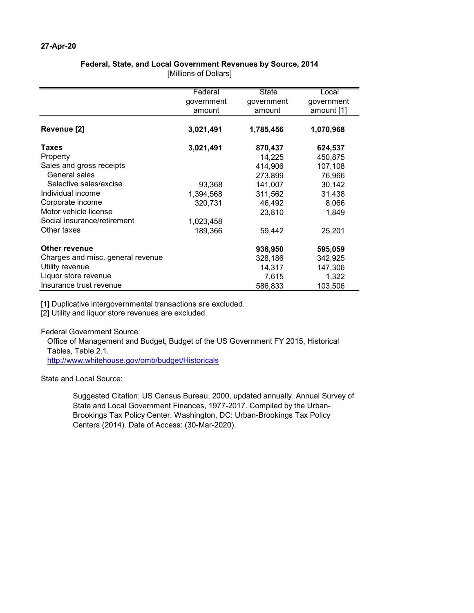## Federal, State, and Local Government Revenues by Source, 2014

[Millions of Dollars]

|                                   | Federal    | <b>State</b> | Local      |
|-----------------------------------|------------|--------------|------------|
|                                   | government | government   | government |
|                                   | amount     | amount       | amount [1] |
|                                   |            |              |            |
| Revenue [2]                       | 3,021,491  | 1,785,456    | 1,070,968  |
| Taxes                             | 3,021,491  | 870,437      | 624,537    |
| Property                          |            | 14,225       | 450,875    |
| Sales and gross receipts          |            | 414,906      | 107,108    |
| General sales                     |            | 273,899      | 76,966     |
| Selective sales/excise            | 93,368     | 141,007      | 30,142     |
| Individual income                 | 1,394,568  | 311,562      | 31,438     |
| Corporate income                  | 320,731    | 46,492       | 8,066      |
| Motor vehicle license             |            | 23,810       | 1,849      |
| Social insurance/retirement       | 1,023,458  |              |            |
| Other taxes                       | 189,366    | 59,442       | 25,201     |
| Other revenue                     |            | 936,950      | 595,059    |
| Charges and misc. general revenue |            | 328,186      | 342,925    |
| Utility revenue                   |            | 14,317       | 147,306    |
| Liquor store revenue              |            | 7,615        | 1,322      |
| Insurance trust revenue           |            | 586,833      | 103,506    |

[1] Duplicative intergovernmental transactions are excluded.

[2] Utility and liquor store revenues are excluded.

Federal Government Source:

Office of Management and Budget, Budget of the US Government FY 2015, Historical Tables, Table 2.1.

http://www.whitehouse.gov/omb/budget/Historicals

State and Local Source:

Suggested Citation: US Census Bureau. 2000, updated annually. Annual Survey of State and Local Government Finances, 1977-2017. Compiled by the Urban-Brookings Tax Policy Center. Washington, DC: Urban-Brookings Tax Policy Centers (2014). Date of Access: (30-Mar-2020).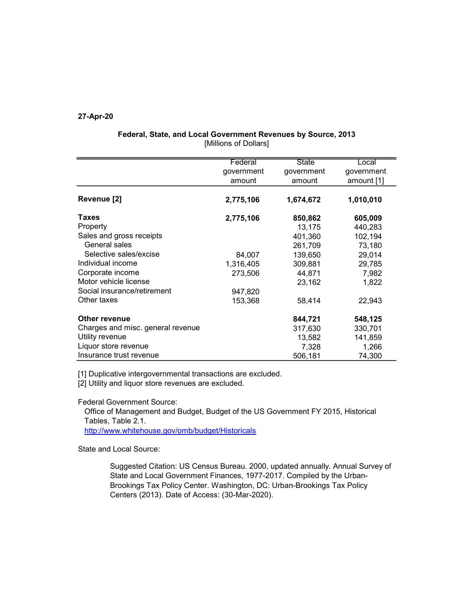|                                   | Federal    | <b>State</b> | Local      |
|-----------------------------------|------------|--------------|------------|
|                                   | government | government   | government |
|                                   | amount     | amount       | amount [1] |
| Revenue [2]                       | 2,775,106  | 1,674,672    | 1,010,010  |
| Taxes                             | 2,775,106  | 850,862      | 605,009    |
| Property                          |            | 13,175       | 440,283    |
| Sales and gross receipts          |            | 401,360      | 102,194    |
| General sales                     |            | 261,709      | 73,180     |
| Selective sales/excise            | 84,007     | 139,650      | 29,014     |
| Individual income                 | 1,316,405  | 309,881      | 29,785     |
| Corporate income                  | 273,506    | 44,871       | 7,982      |
| Motor vehicle license             |            | 23,162       | 1,822      |
| Social insurance/retirement       | 947,820    |              |            |
| Other taxes                       | 153,368    | 58,414       | 22,943     |
| Other revenue                     |            | 844,721      | 548,125    |
| Charges and misc. general revenue |            | 317,630      | 330,701    |
| Utility revenue                   |            | 13,582       | 141,859    |
| Liquor store revenue              |            | 7,328        | 1,266      |
| Insurance trust revenue           |            | 506,181      | 74,300     |

## Federal, State, and Local Government Revenues by Source, 2013 [Millions of Dollars]

[1] Duplicative intergovernmental transactions are excluded.

[2] Utility and liquor store revenues are excluded.

Federal Government Source:

Office of Management and Budget, Budget of the US Government FY 2015, Historical Tables, Table 2.1.

http://www.whitehouse.gov/omb/budget/Historicals

State and Local Source:

Suggested Citation: US Census Bureau. 2000, updated annually. Annual Survey of State and Local Government Finances, 1977-2017. Compiled by the Urban-Brookings Tax Policy Center. Washington, DC: Urban-Brookings Tax Policy Centers (2013). Date of Access: (30-Mar-2020).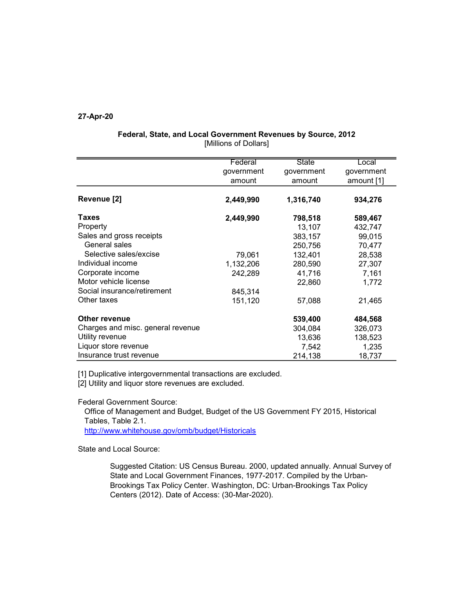|                                   | Federal    | <b>State</b> | Local      |
|-----------------------------------|------------|--------------|------------|
|                                   | government | government   | government |
|                                   | amount     | amount       | amount [1] |
| Revenue [2]                       | 2,449,990  | 1,316,740    | 934,276    |
| Taxes                             | 2,449,990  | 798,518      | 589,467    |
| Property                          |            | 13,107       | 432,747    |
| Sales and gross receipts          |            | 383,157      | 99,015     |
| General sales                     |            | 250,756      | 70,477     |
| Selective sales/excise            | 79,061     | 132,401      | 28,538     |
| Individual income                 | 1,132,206  | 280,590      | 27,307     |
| Corporate income                  | 242,289    | 41,716       | 7,161      |
| Motor vehicle license             |            | 22,860       | 1,772      |
| Social insurance/retirement       | 845,314    |              |            |
| Other taxes                       | 151,120    | 57,088       | 21,465     |
| Other revenue                     |            | 539,400      | 484,568    |
| Charges and misc. general revenue |            | 304,084      | 326,073    |
| Utility revenue                   |            | 13,636       | 138,523    |
| Liquor store revenue              |            | 7,542        | 1,235      |
| Insurance trust revenue           |            | 214,138      | 18,737     |

## Federal, State, and Local Government Revenues by Source, 2012 [Millions of Dollars]

[1] Duplicative intergovernmental transactions are excluded.

[2] Utility and liquor store revenues are excluded.

Federal Government Source:

Office of Management and Budget, Budget of the US Government FY 2015, Historical Tables, Table 2.1.

http://www.whitehouse.gov/omb/budget/Historicals

State and Local Source:

Suggested Citation: US Census Bureau. 2000, updated annually. Annual Survey of State and Local Government Finances, 1977-2017. Compiled by the Urban-Brookings Tax Policy Center. Washington, DC: Urban-Brookings Tax Policy Centers (2012). Date of Access: (30-Mar-2020).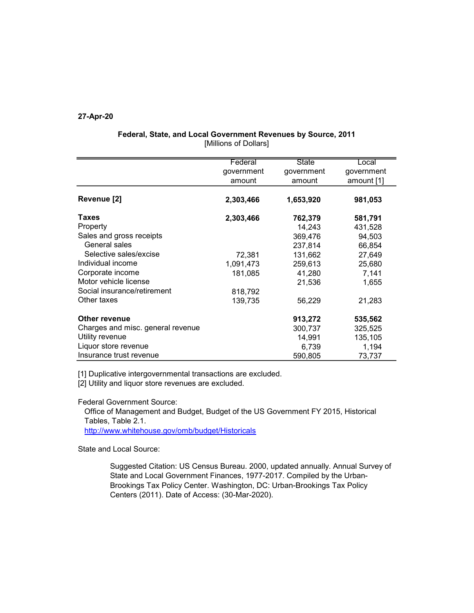|                                   | Federal    | <b>State</b> | Local      |
|-----------------------------------|------------|--------------|------------|
|                                   | government | government   | government |
|                                   | amount     | amount       | amount [1] |
| Revenue [2]                       | 2,303,466  | 1,653,920    | 981,053    |
| <b>Taxes</b>                      | 2,303,466  | 762,379      | 581,791    |
| Property                          |            | 14,243       | 431,528    |
| Sales and gross receipts          |            | 369,476      | 94,503     |
| General sales                     |            | 237,814      | 66,854     |
| Selective sales/excise            | 72,381     | 131,662      | 27,649     |
| Individual income                 | 1,091,473  | 259,613      | 25,680     |
| Corporate income                  | 181,085    | 41,280       | 7,141      |
| Motor vehicle license             |            | 21,536       | 1,655      |
| Social insurance/retirement       | 818,792    |              |            |
| Other taxes                       | 139,735    | 56,229       | 21,283     |
| Other revenue                     |            | 913,272      | 535,562    |
| Charges and misc. general revenue |            | 300,737      | 325,525    |
| Utility revenue                   |            | 14,991       | 135,105    |
| Liquor store revenue              |            | 6,739        | 1,194      |
| Insurance trust revenue           |            | 590,805      | 73,737     |

## Federal, State, and Local Government Revenues by Source, 2011 [Millions of Dollars]

[1] Duplicative intergovernmental transactions are excluded.

[2] Utility and liquor store revenues are excluded.

Federal Government Source:

Office of Management and Budget, Budget of the US Government FY 2015, Historical Tables, Table 2.1.

http://www.whitehouse.gov/omb/budget/Historicals

State and Local Source:

Suggested Citation: US Census Bureau. 2000, updated annually. Annual Survey of State and Local Government Finances, 1977-2017. Compiled by the Urban-Brookings Tax Policy Center. Washington, DC: Urban-Brookings Tax Policy Centers (2011). Date of Access: (30-Mar-2020).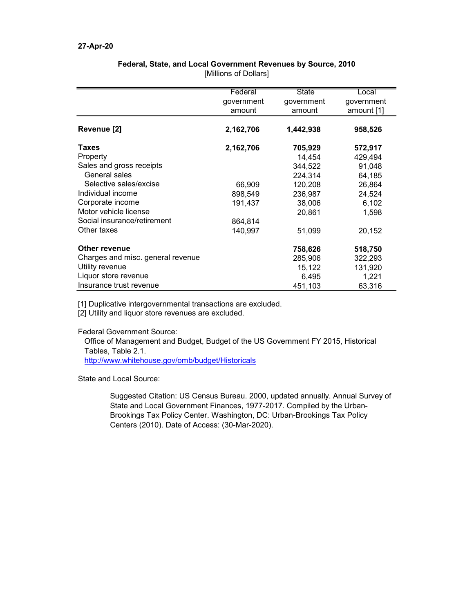|                                   | Federal    | State      | Local      |
|-----------------------------------|------------|------------|------------|
|                                   | government | government | government |
|                                   | amount     | amount     | amount [1] |
| Revenue [2]                       | 2,162,706  | 1,442,938  | 958,526    |
| Taxes                             | 2,162,706  | 705,929    | 572,917    |
| Property                          |            | 14,454     | 429,494    |
| Sales and gross receipts          |            | 344,522    | 91,048     |
| General sales                     |            | 224,314    | 64,185     |
| Selective sales/excise            | 66,909     | 120,208    | 26,864     |
| Individual income                 | 898,549    | 236,987    | 24,524     |
| Corporate income                  | 191,437    | 38,006     | 6,102      |
| Motor vehicle license             |            | 20,861     | 1,598      |
| Social insurance/retirement       | 864,814    |            |            |
| Other taxes                       | 140,997    | 51,099     | 20,152     |
| <b>Other revenue</b>              |            | 758,626    | 518,750    |
| Charges and misc. general revenue |            | 285,906    | 322,293    |
| Utility revenue                   |            | 15,122     | 131,920    |
| Liquor store revenue              |            | 6,495      | 1,221      |
| Insurance trust revenue           |            | 451,103    | 63,316     |

## Federal, State, and Local Government Revenues by Source, 2010 [Millions of Dollars]

[1] Duplicative intergovernmental transactions are excluded.

[2] Utility and liquor store revenues are excluded.

Federal Government Source:

Office of Management and Budget, Budget of the US Government FY 2015, Historical Tables, Table 2.1.

http://www.whitehouse.gov/omb/budget/Historicals

State and Local Source:

Suggested Citation: US Census Bureau. 2000, updated annually. Annual Survey of State and Local Government Finances, 1977-2017. Compiled by the Urban-Brookings Tax Policy Center. Washington, DC: Urban-Brookings Tax Policy Centers (2010). Date of Access: (30-Mar-2020).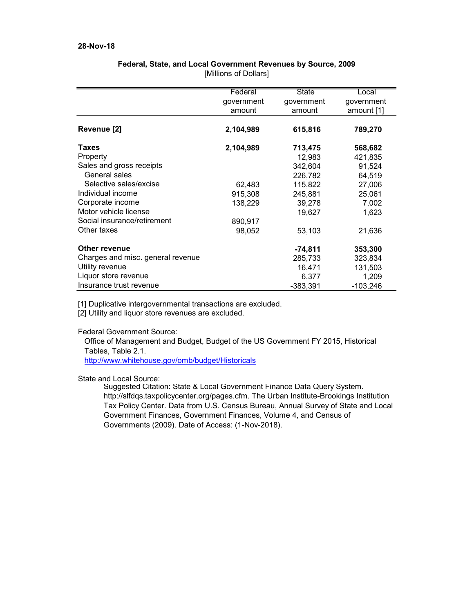## 28-Nov-18

|                                   | Federal    | <b>State</b> | Local      |
|-----------------------------------|------------|--------------|------------|
|                                   | government | government   | government |
|                                   | amount     | amount       | amount [1] |
|                                   |            |              |            |
| Revenue [2]                       | 2,104,989  | 615,816      | 789,270    |
| <b>Taxes</b>                      | 2,104,989  | 713,475      | 568,682    |
| Property                          |            | 12,983       | 421,835    |
| Sales and gross receipts          |            | 342,604      | 91,524     |
| General sales                     |            | 226,782      | 64,519     |
| Selective sales/excise            | 62,483     | 115,822      | 27,006     |
| Individual income                 | 915,308    | 245,881      | 25,061     |
| Corporate income                  | 138,229    | 39,278       | 7,002      |
| Motor vehicle license             |            | 19,627       | 1,623      |
| Social insurance/retirement       | 890,917    |              |            |
| Other taxes                       | 98,052     | 53,103       | 21,636     |
| <b>Other revenue</b>              |            | $-74,811$    | 353,300    |
| Charges and misc. general revenue |            | 285,733      | 323,834    |
| Utility revenue                   |            | 16,471       | 131,503    |
| Liquor store revenue              |            | 6,377        | 1,209      |
| Insurance trust revenue           |            | $-383,391$   | $-103,246$ |

## Federal, State, and Local Government Revenues by Source, 2009 [Millions of Dollars]

[1] Duplicative intergovernmental transactions are excluded.

[2] Utility and liquor store revenues are excluded.

Federal Government Source:

Office of Management and Budget, Budget of the US Government FY 2015, Historical Tables, Table 2.1.

http://www.whitehouse.gov/omb/budget/Historicals

## State and Local Source:

Suggested Citation: State & Local Government Finance Data Query System. http://slfdqs.taxpolicycenter.org/pages.cfm. The Urban Institute-Brookings Institution Tax Policy Center. Data from U.S. Census Bureau, Annual Survey of State and Local Government Finances, Government Finances, Volume 4, and Census of Governments (2009). Date of Access: (1-Nov-2018).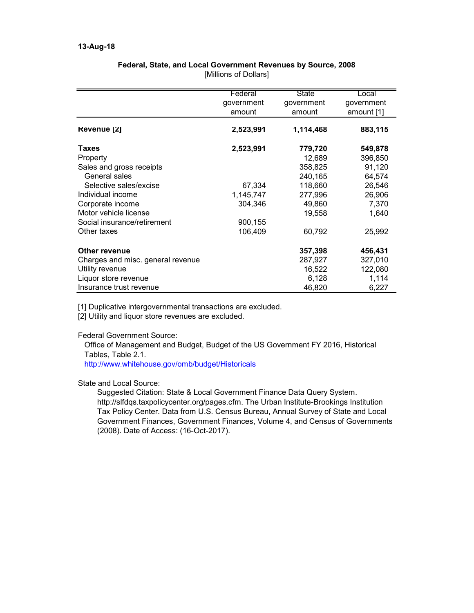|                                   | Federal    | <b>State</b> | Local      |
|-----------------------------------|------------|--------------|------------|
|                                   | government | government   | government |
|                                   | amount     | amount       | amount [1] |
| Revenue [2]                       | 2,523,991  | 1,114,468    | 883,115    |
| Taxes                             | 2,523,991  | 779,720      | 549,878    |
| Property                          |            | 12,689       | 396,850    |
| Sales and gross receipts          |            | 358,825      | 91,120     |
| General sales                     |            | 240,165      | 64,574     |
| Selective sales/excise            | 67,334     | 118,660      | 26,546     |
| Individual income                 | 1,145,747  | 277,996      | 26,906     |
| Corporate income                  | 304,346    | 49,860       | 7,370      |
| Motor vehicle license             |            | 19,558       | 1,640      |
| Social insurance/retirement       | 900,155    |              |            |
| Other taxes                       | 106,409    | 60,792       | 25,992     |
| <b>Other revenue</b>              |            | 357,398      | 456,431    |
| Charges and misc. general revenue |            | 287,927      | 327,010    |
| Utility revenue                   |            | 16,522       | 122,080    |
| Liquor store revenue              |            | 6,128        | 1,114      |
| Insurance trust revenue           |            | 46,820       | 6,227      |

## Federal, State, and Local Government Revenues by Source, 2008 [Millions of Dollars]

[1] Duplicative intergovernmental transactions are excluded.

[2] Utility and liquor store revenues are excluded.

## Federal Government Source:

Office of Management and Budget, Budget of the US Government FY 2016, Historical Tables, Table 2.1.

http://www.whitehouse.gov/omb/budget/Historicals

## State and Local Source:

Suggested Citation: State & Local Government Finance Data Query System. http://slfdqs.taxpolicycenter.org/pages.cfm. The Urban Institute-Brookings Institution Tax Policy Center. Data from U.S. Census Bureau, Annual Survey of State and Local Government Finances, Government Finances, Volume 4, and Census of Governments (2008). Date of Access: (16-Oct-2017).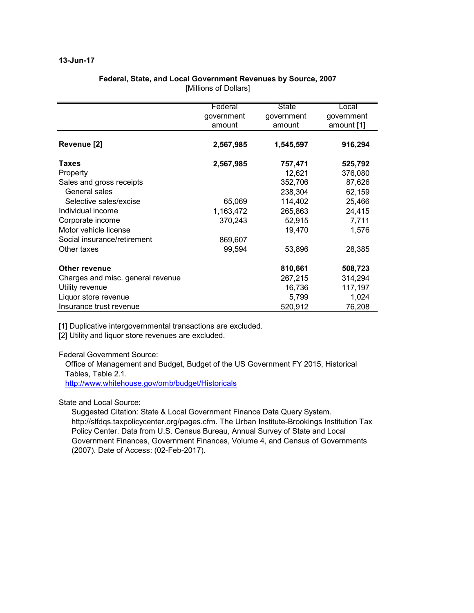## 13-Jun-17

|                                   | Federal    | State      | Eocal      |
|-----------------------------------|------------|------------|------------|
|                                   | government | government | government |
|                                   | amount     | amount     | amount [1] |
| Revenue [2]                       | 2,567,985  | 1,545,597  | 916,294    |
|                                   |            |            |            |
| Taxes                             | 2,567,985  | 757,471    | 525,792    |
| Property                          |            | 12,621     | 376,080    |
| Sales and gross receipts          |            | 352,706    | 87,626     |
| General sales                     |            | 238,304    | 62,159     |
| Selective sales/excise            | 65,069     | 114,402    | 25,466     |
| Individual income                 | 1,163,472  | 265,863    | 24,415     |
| Corporate income                  | 370,243    | 52,915     | 7,711      |
| Motor vehicle license             |            | 19,470     | 1,576      |
| Social insurance/retirement       | 869,607    |            |            |
| Other taxes                       | 99,594     | 53,896     | 28,385     |
| <b>Other revenue</b>              |            | 810,661    | 508,723    |
| Charges and misc. general revenue |            | 267,215    | 314,294    |
| Utility revenue                   |            | 16,736     | 117,197    |
| Liquor store revenue              |            | 5,799      | 1,024      |
| Insurance trust revenue           |            | 520,912    | 76,208     |

## Federal, State, and Local Government Revenues by Source, 2007 [Millions of Dollars]

[1] Duplicative intergovernmental transactions are excluded.

[2] Utility and liquor store revenues are excluded.

Federal Government Source:

Office of Management and Budget, Budget of the US Government FY 2015, Historical Tables, Table 2.1.

http://www.whitehouse.gov/omb/budget/Historicals

State and Local Source:

Suggested Citation: State & Local Government Finance Data Query System. http://slfdqs.taxpolicycenter.org/pages.cfm. The Urban Institute-Brookings Institution Tax Policy Center. Data from U.S. Census Bureau, Annual Survey of State and Local Government Finances, Government Finances, Volume 4, and Census of Governments (2007). Date of Access: (02-Feb-2017).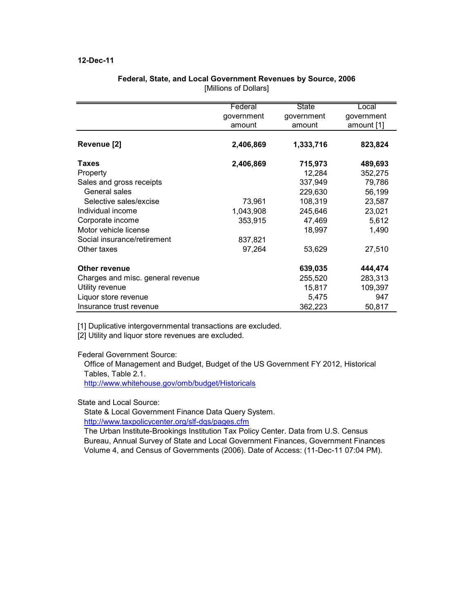## 12-Dec-11

|                                   | Federal    | <b>State</b> | Local      |
|-----------------------------------|------------|--------------|------------|
|                                   | government | government   | government |
|                                   | amount     | amount       | amount [1] |
| Revenue [2]                       | 2,406,869  | 1,333,716    | 823,824    |
| Taxes                             | 2,406,869  | 715,973      | 489,693    |
| Property                          |            | 12,284       | 352,275    |
| Sales and gross receipts          |            | 337,949      | 79,786     |
| General sales                     |            | 229,630      | 56,199     |
| Selective sales/excise            | 73,961     | 108,319      | 23,587     |
| Individual income                 | 1,043,908  | 245,646      | 23,021     |
| Corporate income                  | 353,915    | 47,469       | 5,612      |
| Motor vehicle license             |            | 18,997       | 1,490      |
| Social insurance/retirement       | 837,821    |              |            |
| Other taxes                       | 97,264     | 53,629       | 27,510     |
| <b>Other revenue</b>              |            | 639,035      | 444,474    |
| Charges and misc. general revenue |            | 255,520      | 283,313    |
| Utility revenue                   |            | 15,817       | 109,397    |
| Liquor store revenue              |            | 5,475        | 947        |
| Insurance trust revenue           |            | 362,223      | 50,817     |

## Federal, State, and Local Government Revenues by Source, 2006 [Millions of Dollars]

[1] Duplicative intergovernmental transactions are excluded.

[2] Utility and liquor store revenues are excluded.

Federal Government Source:

Office of Management and Budget, Budget of the US Government FY 2012, Historical Tables, Table 2.1.

http://www.whitehouse.gov/omb/budget/Historicals

State and Local Source:

State & Local Government Finance Data Query System.

http://www.taxpolicycenter.org/slf-dqs/pages.cfm

The Urban Institute-Brookings Institution Tax Policy Center. Data from U.S. Census Bureau, Annual Survey of State and Local Government Finances, Government Finances Volume 4, and Census of Governments (2006). Date of Access: (11-Dec-11 07:04 PM).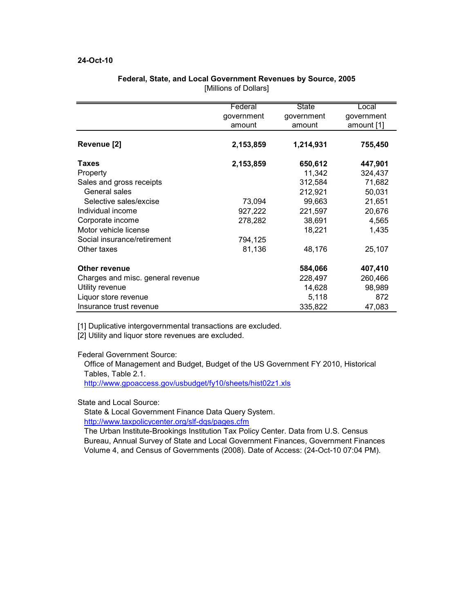## 24-Oct-10

|                                   | Federal    | State      | Local      |
|-----------------------------------|------------|------------|------------|
|                                   | government | government | government |
|                                   | amount     | amount     | amount [1] |
| Revenue [2]                       | 2,153,859  | 1,214,931  | 755,450    |
|                                   |            |            |            |
| Taxes                             | 2,153,859  | 650,612    | 447,901    |
| Property                          |            | 11,342     | 324,437    |
| Sales and gross receipts          |            | 312,584    | 71,682     |
| General sales                     |            | 212,921    | 50,031     |
| Selective sales/excise            | 73,094     | 99,663     | 21,651     |
| Individual income                 | 927,222    | 221,597    | 20,676     |
| Corporate income                  | 278,282    | 38,691     | 4,565      |
| Motor vehicle license             |            | 18,221     | 1,435      |
| Social insurance/retirement       | 794,125    |            |            |
| Other taxes                       | 81,136     | 48,176     | 25,107     |
| Other revenue                     |            | 584,066    | 407,410    |
| Charges and misc. general revenue |            | 228,497    | 260,466    |
| Utility revenue                   |            | 14,628     | 98,989     |
| Liquor store revenue              |            | 5,118      | 872        |
| Insurance trust revenue           |            | 335,822    | 47,083     |

## Federal, State, and Local Government Revenues by Source, 2005 [Millions of Dollars]

[1] Duplicative intergovernmental transactions are excluded.

[2] Utility and liquor store revenues are excluded.

Federal Government Source:

Office of Management and Budget, Budget of the US Government FY 2010, Historical Tables, Table 2.1.

http://www.gpoaccess.gov/usbudget/fy10/sheets/hist02z1.xls

State and Local Source:

State & Local Government Finance Data Query System.

http://www.taxpolicycenter.org/slf-dqs/pages.cfm

The Urban Institute-Brookings Institution Tax Policy Center. Data from U.S. Census Bureau, Annual Survey of State and Local Government Finances, Government Finances Volume 4, and Census of Governments (2008). Date of Access: (24-Oct-10 07:04 PM).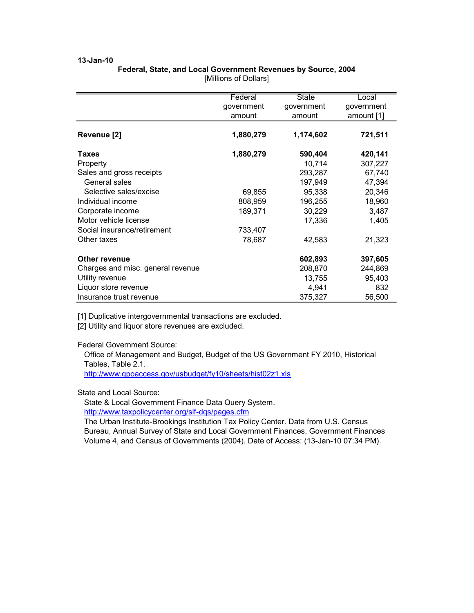# Federal, State, and Local Government Revenues by Source, 2004

|                                   | Federal    | <b>State</b> | Local      |
|-----------------------------------|------------|--------------|------------|
|                                   | government | government   | government |
|                                   | amount     | amount       | amount [1] |
|                                   |            |              |            |
| Revenue [2]                       | 1,880,279  | 1,174,602    | 721,511    |
| <b>Taxes</b>                      | 1,880,279  | 590,404      | 420,141    |
| Property                          |            | 10,714       | 307,227    |
| Sales and gross receipts          |            | 293,287      | 67,740     |
| General sales                     |            | 197,949      | 47,394     |
| Selective sales/excise            | 69,855     | 95,338       | 20,346     |
| Individual income                 | 808,959    | 196,255      | 18,960     |
| Corporate income                  | 189,371    | 30,229       | 3,487      |
| Motor vehicle license             |            | 17,336       | 1,405      |
| Social insurance/retirement       | 733,407    |              |            |
| Other taxes                       | 78,687     | 42,583       | 21,323     |
| <b>Other revenue</b>              |            | 602,893      | 397,605    |
| Charges and misc. general revenue |            | 208,870      | 244,869    |
| Utility revenue                   |            | 13,755       | 95,403     |
| Liquor store revenue              |            | 4,941        | 832        |
| Insurance trust revenue           |            | 375,327      | 56,500     |

[Millions of Dollars]

[1] Duplicative intergovernmental transactions are excluded.

[2] Utility and liquor store revenues are excluded.

Federal Government Source:

Office of Management and Budget, Budget of the US Government FY 2010, Historical Tables, Table 2.1.

http://www.gpoaccess.gov/usbudget/fy10/sheets/hist02z1.xls

### State and Local Source:

State & Local Government Finance Data Query System. http://www.taxpolicycenter.org/slf-dqs/pages.cfm

The Urban Institute-Brookings Institution Tax Policy Center. Data from U.S. Census Bureau, Annual Survey of State and Local Government Finances, Government Finances Volume 4, and Census of Governments (2004). Date of Access: (13-Jan-10 07:34 PM).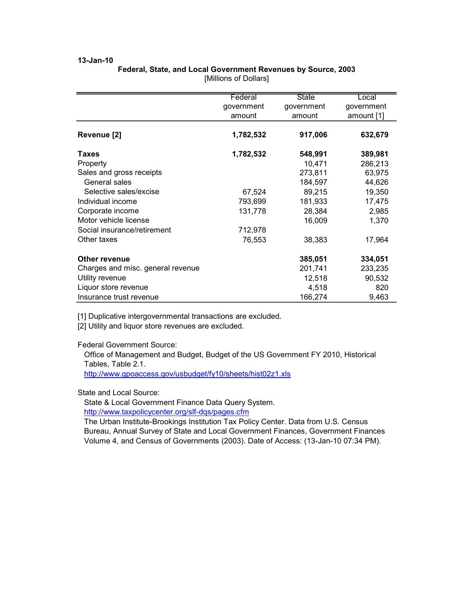# Federal, State, and Local Government Revenues by Source, 2003

|                                   | Federal    | State      | Local      |
|-----------------------------------|------------|------------|------------|
|                                   | government | government | government |
|                                   | amount     | amount     | amount [1] |
|                                   |            |            |            |
| Revenue [2]                       | 1,782,532  | 917,006    | 632,679    |
| Taxes                             | 1,782,532  | 548,991    | 389,981    |
| Property                          |            | 10,471     | 286,213    |
| Sales and gross receipts          |            | 273,811    | 63,975     |
| General sales                     |            | 184,597    | 44,626     |
| Selective sales/excise            | 67,524     | 89,215     | 19,350     |
| Individual income                 | 793,699    | 181,933    | 17,475     |
| Corporate income                  | 131,778    | 28,384     | 2,985      |
| Motor vehicle license             |            | 16,009     | 1,370      |
| Social insurance/retirement       | 712,978    |            |            |
| Other taxes                       | 76,553     | 38,383     | 17,964     |
| <b>Other revenue</b>              |            | 385,051    | 334,051    |
| Charges and misc. general revenue |            | 201,741    | 233,235    |
| Utility revenue                   |            | 12,518     | 90,532     |
| Liquor store revenue              |            | 4,518      | 820        |
| Insurance trust revenue           |            | 166,274    | 9,463      |

[Millions of Dollars]

[1] Duplicative intergovernmental transactions are excluded.

[2] Utility and liquor store revenues are excluded.

Federal Government Source:

Office of Management and Budget, Budget of the US Government FY 2010, Historical Tables, Table 2.1.

http://www.gpoaccess.gov/usbudget/fy10/sheets/hist02z1.xls

## State and Local Source:

State & Local Government Finance Data Query System. http://www.taxpolicycenter.org/slf-dqs/pages.cfm

The Urban Institute-Brookings Institution Tax Policy Center. Data from U.S. Census Bureau, Annual Survey of State and Local Government Finances, Government Finances Volume 4, and Census of Governments (2003). Date of Access: (13-Jan-10 07:34 PM).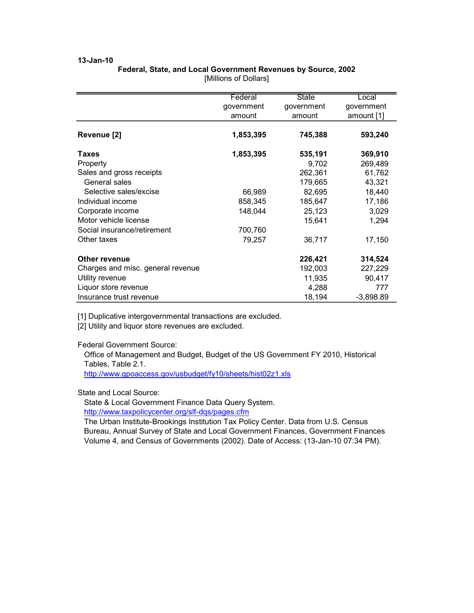# Federal, State, and Local Government Revenues by Source, 2002

|                                   | Federal    | <b>State</b> | Local       |
|-----------------------------------|------------|--------------|-------------|
|                                   | government | government   | government  |
|                                   | amount     | amount       | amount [1]  |
|                                   |            |              |             |
| Revenue [2]                       | 1,853,395  | 745,388      | 593,240     |
| <b>Taxes</b>                      | 1,853,395  | 535,191      | 369,910     |
| Property                          |            | 9,702        | 269,489     |
| Sales and gross receipts          |            | 262,361      | 61,762      |
| General sales                     |            | 179,665      | 43,321      |
| Selective sales/excise            | 66,989     | 82,695       | 18,440      |
| Individual income                 | 858,345    | 185,647      | 17,186      |
| Corporate income                  | 148,044    | 25,123       | 3,029       |
| Motor vehicle license             |            | 15,641       | 1,294       |
| Social insurance/retirement       | 700,760    |              |             |
| Other taxes                       | 79,257     | 36,717       | 17,150      |
| Other revenue                     |            | 226,421      | 314,524     |
| Charges and misc. general revenue |            | 192,003      | 227,229     |
| Utility revenue                   |            | 11,935       | 90,417      |
| Liquor store revenue              |            | 4,288        | 777         |
| Insurance trust revenue           |            | 18,194       | $-3,898.89$ |

[Millions of Dollars]

[1] Duplicative intergovernmental transactions are excluded.

[2] Utility and liquor store revenues are excluded.

Federal Government Source:

Office of Management and Budget, Budget of the US Government FY 2010, Historical Tables, Table 2.1.

http://www.gpoaccess.gov/usbudget/fy10/sheets/hist02z1.xls

## State and Local Source:

State & Local Government Finance Data Query System. http://www.taxpolicycenter.org/slf-dqs/pages.cfm

The Urban Institute-Brookings Institution Tax Policy Center. Data from U.S. Census Bureau, Annual Survey of State and Local Government Finances, Government Finances Volume 4, and Census of Governments (2002). Date of Access: (13-Jan-10 07:34 PM).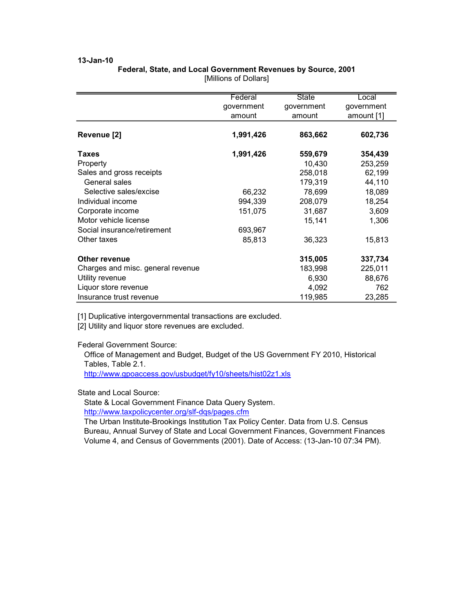## Federal, State, and Local Government Revenues by Source, 2001

|                                   | Federal    | <b>State</b> | Local      |
|-----------------------------------|------------|--------------|------------|
|                                   | government | government   | government |
|                                   | amount     | amount       | amount [1] |
| Revenue [2]                       | 1,991,426  | 863,662      | 602,736    |
| <b>Taxes</b>                      | 1,991,426  | 559,679      | 354,439    |
| Property                          |            | 10,430       | 253,259    |
| Sales and gross receipts          |            | 258,018      | 62,199     |
| General sales                     |            | 179,319      | 44,110     |
| Selective sales/excise            | 66,232     | 78,699       | 18,089     |
| Individual income                 | 994,339    | 208,079      | 18,254     |
| Corporate income                  | 151,075    | 31,687       | 3,609      |
| Motor vehicle license             |            | 15,141       | 1,306      |
| Social insurance/retirement       | 693,967    |              |            |
| Other taxes                       | 85,813     | 36,323       | 15,813     |
| <b>Other revenue</b>              |            | 315,005      | 337,734    |
| Charges and misc. general revenue |            | 183,998      | 225,011    |
| Utility revenue                   |            | 6,930        | 88,676     |
| Liquor store revenue              |            | 4,092        | 762        |
| Insurance trust revenue           |            | 119,985      | 23,285     |

[Millions of Dollars]

[1] Duplicative intergovernmental transactions are excluded.

[2] Utility and liquor store revenues are excluded.

Federal Government Source:

Office of Management and Budget, Budget of the US Government FY 2010, Historical Tables, Table 2.1.

http://www.gpoaccess.gov/usbudget/fy10/sheets/hist02z1.xls

#### State and Local Source:

State & Local Government Finance Data Query System. http://www.taxpolicycenter.org/slf-dqs/pages.cfm

The Urban Institute-Brookings Institution Tax Policy Center. Data from U.S. Census Bureau, Annual Survey of State and Local Government Finances, Government Finances Volume 4, and Census of Governments (2001). Date of Access: (13-Jan-10 07:34 PM).